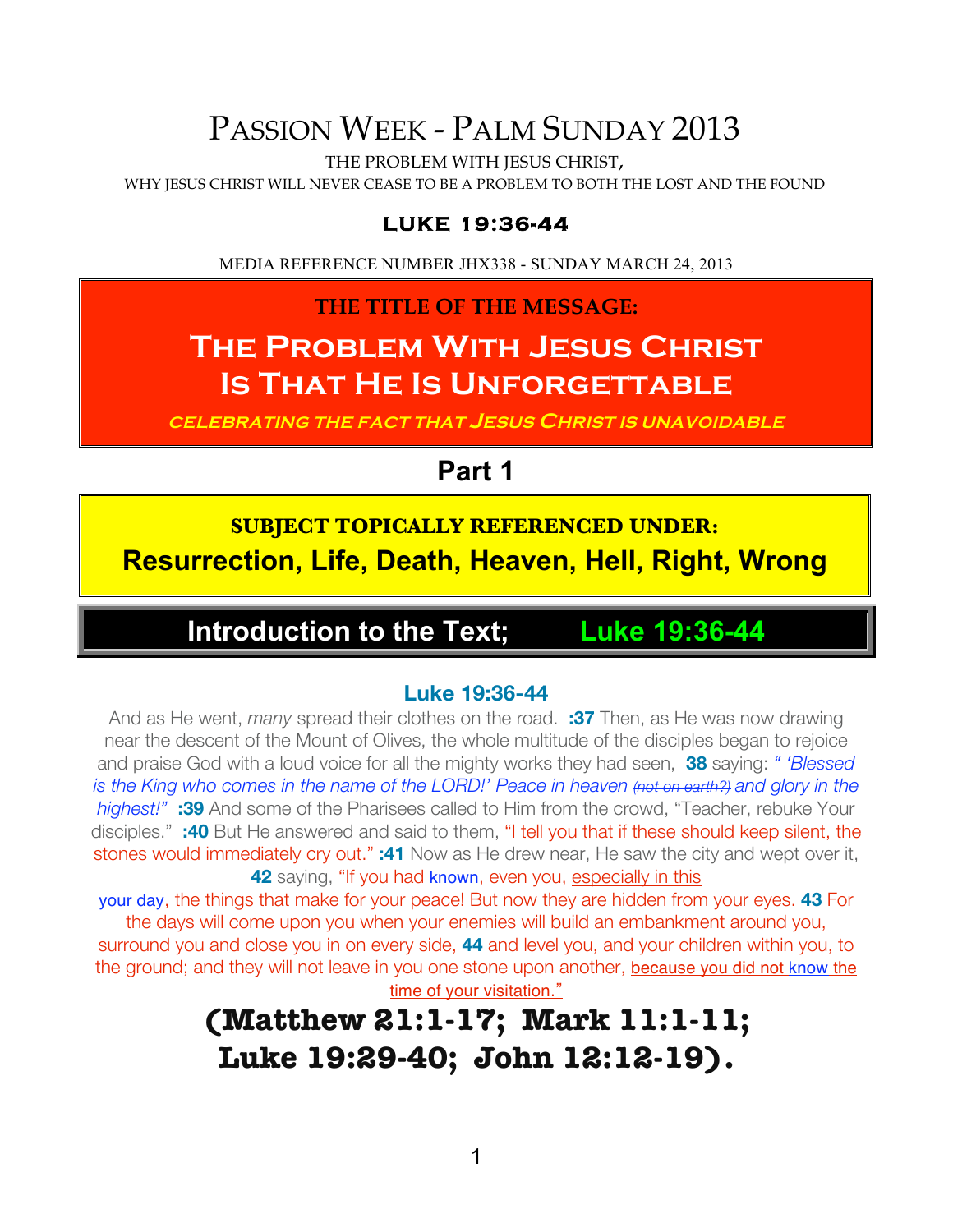# PASSION WEEK - PALM SUNDAY 2013

THE PROBLEM WITH JESUS CHRIST,

WHY JESUS CHRIST WILL NEVER CEASE TO BE A PROBLEM TO BOTH THE LOST AND THE FOUND

#### **LUKE 19:36-44**

MEDIA REFERENCE NUMBER JHX338 - SUNDAY MARCH 24, 2013

**THE TITLE OF THE MESSAGE:**

# **The Problem With Jesus Christ IS THAT HE IS UNFORGETTABLE**

**CELEBRATING THE FACT THAT JESUS CHRIST IS UNAVOIDABLE**

# **Part 1**

**SUBJECT TOPICALLY REFERENCED UNDER: Resurrection, Life, Death, Heaven, Hell, Right, Wrong**

# **Introduction to the Text; Luke 19:36-44**

#### **Luke 19:36-44**

And as He went, *many* spread their clothes on the road. **:37** Then, as He was now drawing near the descent of the Mount of Olives, the whole multitude of the disciples began to rejoice and praise God with a loud voice for all the mighty works they had seen, **38** saying: *" 'Blessed is the King who comes in the name of the LORD!' Peace in heaven (not on earth?) and glory in the highest!"* **:39** And some of the Pharisees called to Him from the crowd, "Teacher, rebuke Your disciples." **:40** But He answered and said to them, "I tell you that if these should keep silent, the stones would immediately cry out." **:41** Now as He drew near, He saw the city and wept over it, **42** saying, "If you had known, even you, especially in this

your day, the things that make for your peace! But now they are hidden from your eyes. **43** For the days will come upon you when your enemies will build an embankment around you,

surround you and close you in on every side, **44** and level you, and your children within you, to the ground; and they will not leave in you one stone upon another, because you did not know the time of your visitation."

# **(Matthew 21:1-17; Mark 11:1-11; Luke 19:29-40; John 12:12-19).**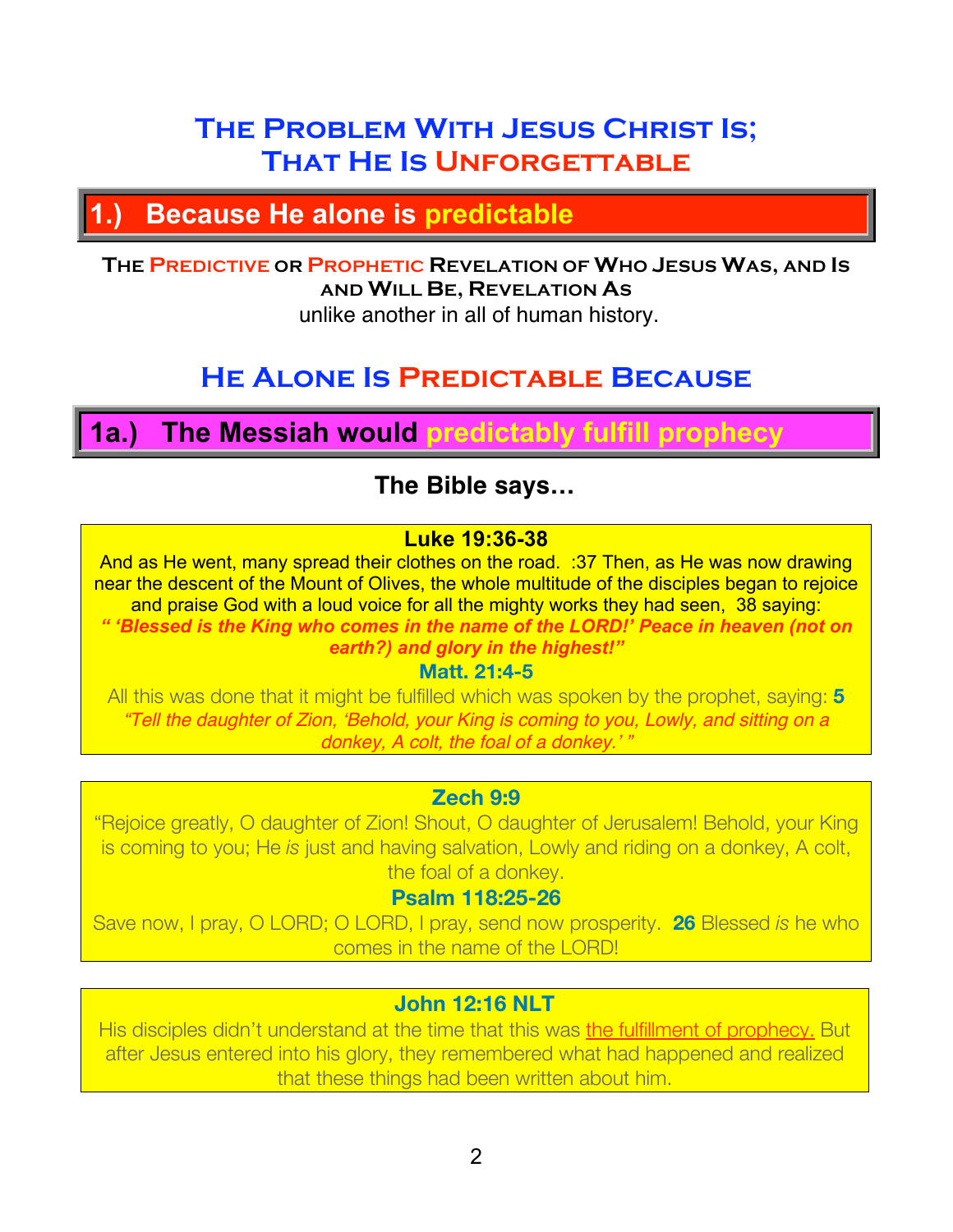# **The Problem With Jesus Christ Is; That He Is Unforgettable**

# **1.) Because He alone is predictable**

## **THE PREDICTIVE OR PROPHETIC REVELATION OF WHO JESUS WAS, AND IS AND WILL BE, REVELATION AS**

unlike another in all of human history.

# **He Alone Is Predictable Because**

# **1a.) The Messiah would predictably fulfill prophecy**

## **The Bible says…**

#### **Luke 19:36-38**

And as He went, many spread their clothes on the road. :37 Then, as He was now drawing near the descent of the Mount of Olives, the whole multitude of the disciples began to rejoice and praise God with a loud voice for all the mighty works they had seen, 38 saying: *" 'Blessed is the King who comes in the name of the LORD!' Peace in heaven (not on earth?) and glory in the highest!"*

**Matt. 21:4-5**

All this was done that it might be fulfilled which was spoken by the prophet, saying: **5** *"Tell the daughter of Zion,* ʻ*Behold, your King is coming to you, Lowly, and sitting on a donkey, A colt, the foal of a donkey.*' *"*

#### **Zech 9:9**

"Rejoice greatly, O daughter of Zion! Shout, O daughter of Jerusalem! Behold, your King is coming to you; He *is* just and having salvation, Lowly and riding on a donkey, A colt, the foal of a donkey.

#### **Psalm 118:25-26**

Save now, I pray, O LORD; O LORD, I pray, send now prosperity. **26** Blessed *is* he who comes in the name of the LORD!

#### **John 12:16 NLT**

His disciples didn't understand at the time that this was the fulfillment of prophecy. But after Jesus entered into his glory, they remembered what had happened and realized that these things had been written about him.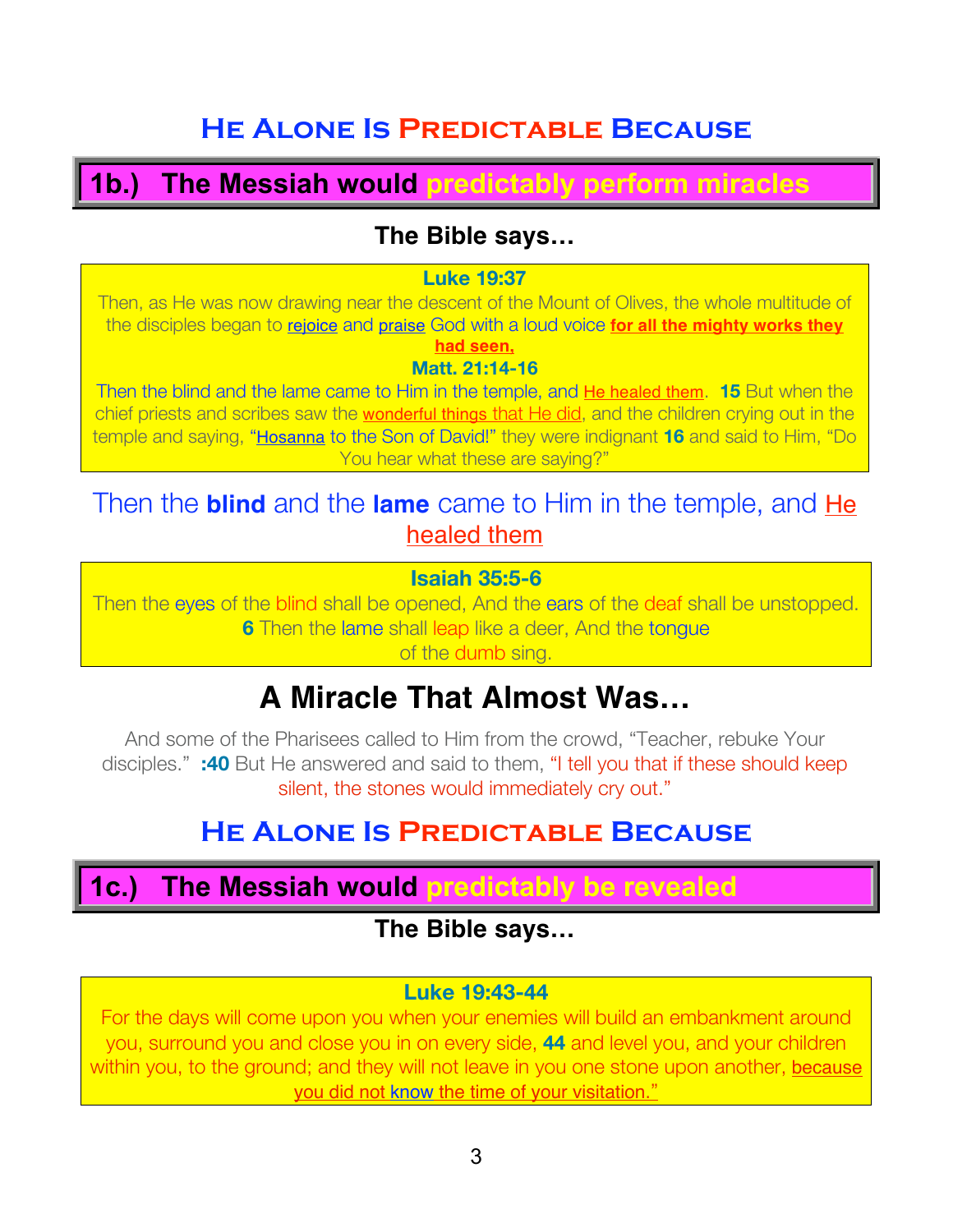# **He Alone Is Predictable Because**

# **1b.) The Messiah would predictably perform miracles**

## **The Bible says…**

#### **Luke 19:37**

Then, as He was now drawing near the descent of the Mount of Olives, the whole multitude of the disciples began to rejoice and praise God with a loud voice **for all the mighty works they had seen,**

## **Matt. 21:14-16**

Then the blind and the lame came to Him in the temple, and He healed them. **15** But when the chief priests and scribes saw the wonderful things that He did, and the children crying out in the temple and saying, "Hosanna to the Son of David!" they were indignant **16** and said to Him, "Do You hear what these are saying?"

## Then the **blind** and the **lame** came to Him in the temple, and He healed them

#### **Isaiah 35:5-6**

Then the eyes of the blind shall be opened, And the ears of the deaf shall be unstopped. **6** Then the lame shall leap like a deer, And the tongue of the dumb sing.

# **A Miracle That Almost Was…**

And some of the Pharisees called to Him from the crowd, "Teacher, rebuke Your disciples." **:40** But He answered and said to them, "I tell you that if these should keep silent, the stones would immediately cry out."

# **He Alone Is Predictable Because**

## **1c.) The Messiah would predictably be revealed**

## **The Bible says…**

#### **Luke 19:43-44**

For the days will come upon you when your enemies will build an embankment around you, surround you and close you in on every side, **44** and level you, and your children within you, to the ground; and they will not leave in you one stone upon another, because you did not know the time of your visitation."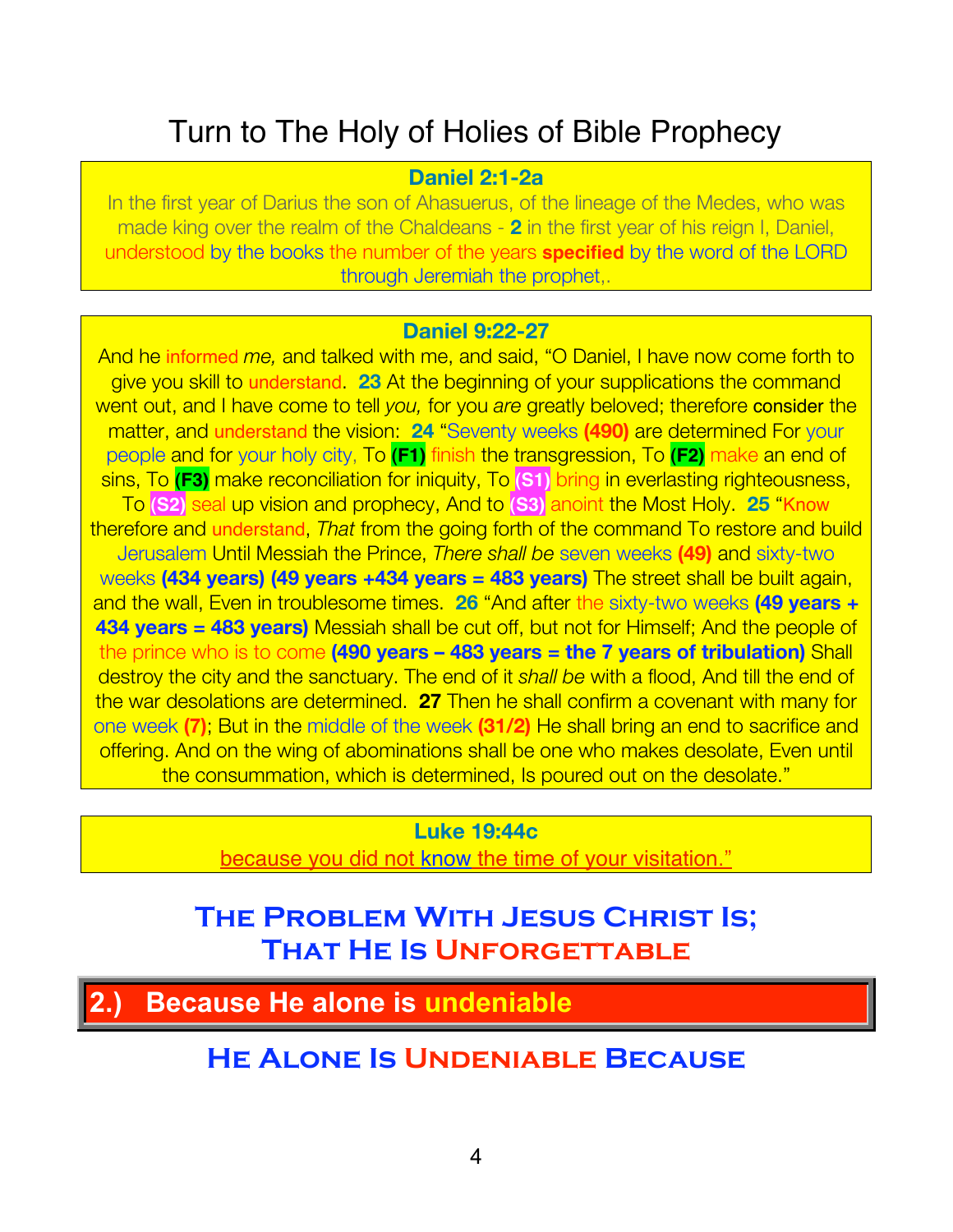# Turn to The Holy of Holies of Bible Prophecy

#### **Daniel 2:1-2a**

In the first year of Darius the son of Ahasuerus, of the lineage of the Medes, who was made king over the realm of the Chaldeans - **2** in the first year of his reign I, Daniel, understood by the books the number of the years **specified** by the word of the LORD through Jeremiah the prophet,.

#### **Daniel 9:22-27**

And he informed *me,* and talked with me, and said, "O Daniel, I have now come forth to give you skill to understand. **23** At the beginning of your supplications the command went out, and I have come to tell *you,* for you *are* greatly beloved; therefore consider the matter, and understand the vision: **24** "Seventy weeks **(490)** are determined For your people and for your holy city, To **(F1)** finish the transgression, To **(F2)** make an end of sins, To **(F3)** make reconciliation for iniquity, To **(S1)** bring in everlasting righteousness, To **(S2)** seal up vision and prophecy, And to **(S3)** anoint the Most Holy. **25** "Know therefore and understand, *That* from the going forth of the command To restore and build Jerusalem Until Messiah the Prince, *There shall be* seven weeks **(49)** and sixty-two weeks **(434 years) (49 years +434 years = 483 years)** The street shall be built again, and the wall, Even in troublesome times. **26** "And after the sixty-two weeks **(49 years + 434 years = 483 years)** Messiah shall be cut off, but not for Himself; And the people of the prince who is to come **(490 years – 483 years = the 7 years of tribulation)** Shall destroy the city and the sanctuary. The end of it *shall be* with a flood, And till the end of the war desolations are determined. **27** Then he shall confirm a covenant with many for one week **(7)**; But in the middle of the week **(31/2)** He shall bring an end to sacrifice and offering. And on the wing of abominations shall be one who makes desolate, Even until the consummation, which is determined, Is poured out on the desolate."

## **Luke 19:44c**

because you did not know the time of your visitation."

# **The Problem With Jesus Christ Is; That He Is Unforgettable**

**2.) Because He alone is undeniable**

## **He Alone Is Undeniable Because**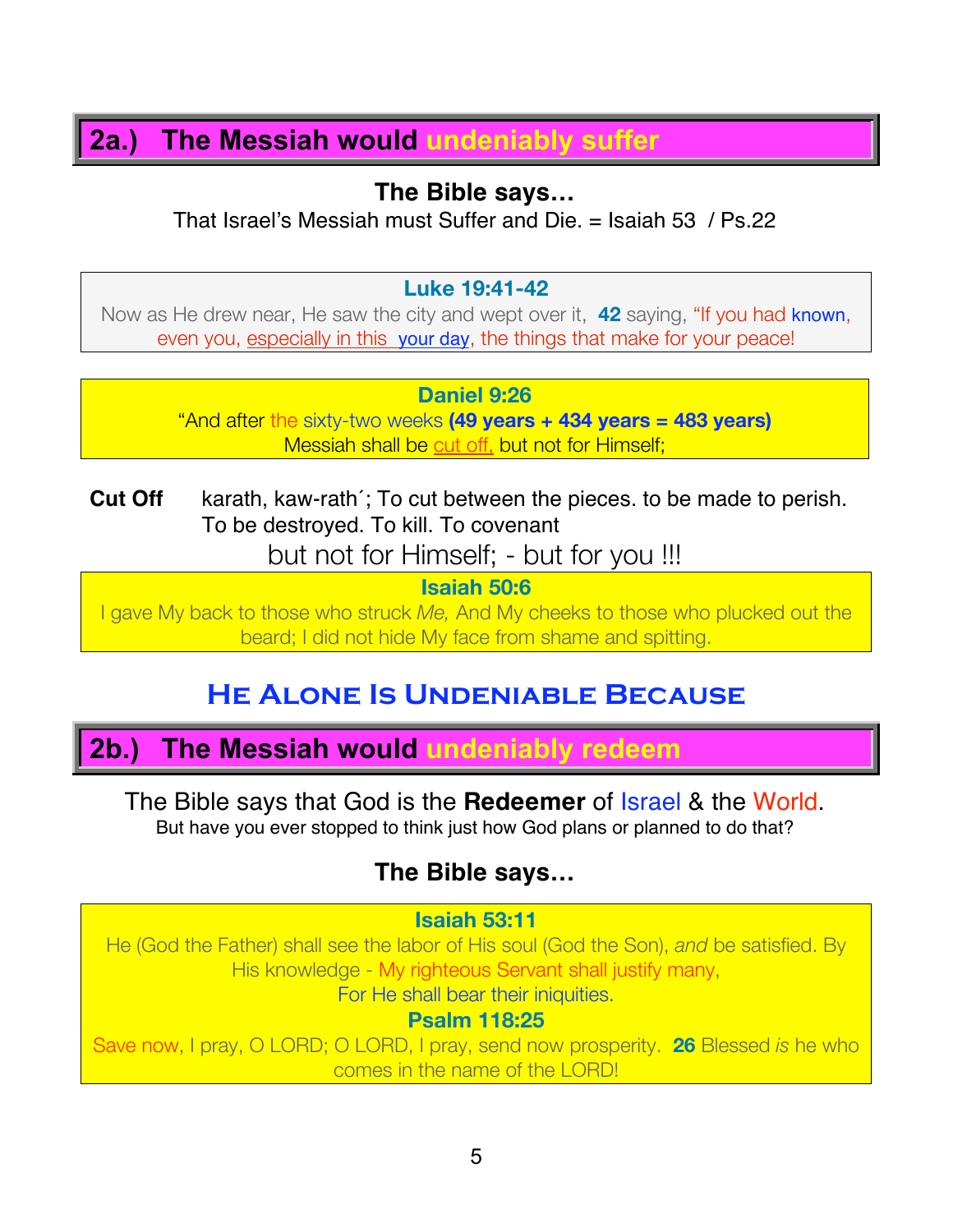## **2a.) The Messiah would undeniably suffer**

## **The Bible says…**

That Israel's Messiah must Suffer and Die. = Isaiah 53 / Ps.22

#### **Luke 19:41-42**

Now as He drew near, He saw the city and wept over it, **42** saying, "If you had known, even you, especially in this your day, the things that make for your peace!

#### **Daniel 9:26**

"And after the sixty-two weeks **(49 years + 434 years = 483 years)** Messiah shall be cut off, but not for Himself;

**Cut Off** karath, kaw-rath´; To cut between the pieces. to be made to perish. To be destroyed. To kill. To covenant

but not for Himself; - but for you !!!

**Isaiah 50:6**

I gave My back to those who struck *Me,* And My cheeks to those who plucked out the beard; I did not hide My face from shame and spitting.

# **He Alone Is Undeniable Because**

# **2b.) The Messiah would undeniably redeem**

The Bible says that God is the **Redeemer** of Israel & the World. But have you ever stopped to think just how God plans or planned to do that?

## **The Bible says…**

#### **Isaiah 53:11**

He (God the Father) shall see the labor of His soul (God the Son), *and* be satisfied. By His knowledge - My righteous Servant shall justify many, For He shall bear their iniquities.

#### **Psalm 118:25**

Save now, I pray, O LORD; O LORD, I pray, send now prosperity. **26** Blessed *is* he who comes in the name of the LORD!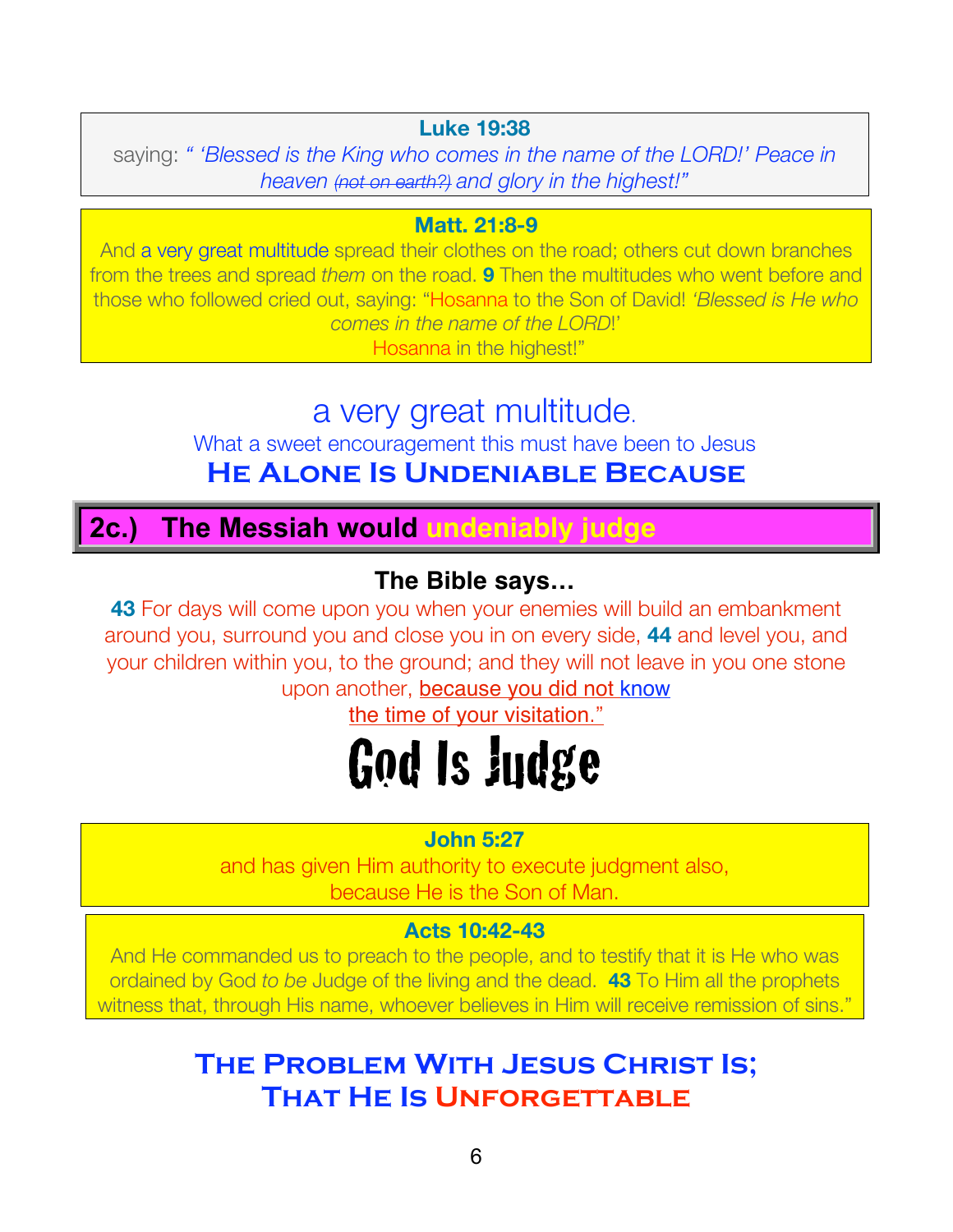#### **Luke 19:38**

saying: *" 'Blessed is the King who comes in the name of the LORD!' Peace in heaven (not on earth?) and glory in the highest!"*

#### **Matt. 21:8-9**

And a very great multitude spread their clothes on the road; others cut down branches from the trees and spread *them* on the road. **9** Then the multitudes who went before and those who followed cried out, saying: "Hosanna to the Son of David! *'Blessed is He who comes in the name of the LORD*!'

Hosanna in the highest!"

# a very great multitude.

What a sweet encouragement this must have been to Jesus **He Alone Is Undeniable Because**

# **2c.) The Messiah would undeniably judge**

## **The Bible says…**

**43** For days will come upon you when your enemies will build an embankment around you, surround you and close you in on every side, **44** and level you, and your children within you, to the ground; and they will not leave in you one stone upon another, **because you did not know** 

the time of your visitation."

# God Is Judge

#### **John 5:27**

and has given Him authority to execute judgment also, because He is the Son of Man.

#### **Acts 10:42-43**

And He commanded us to preach to the people, and to testify that it is He who was ordained by God *to be* Judge of the living and the dead. **43** To Him all the prophets witness that, through His name, whoever believes in Him will receive remission of sins."

# **The Problem With Jesus Christ Is; That He Is Unforgettable**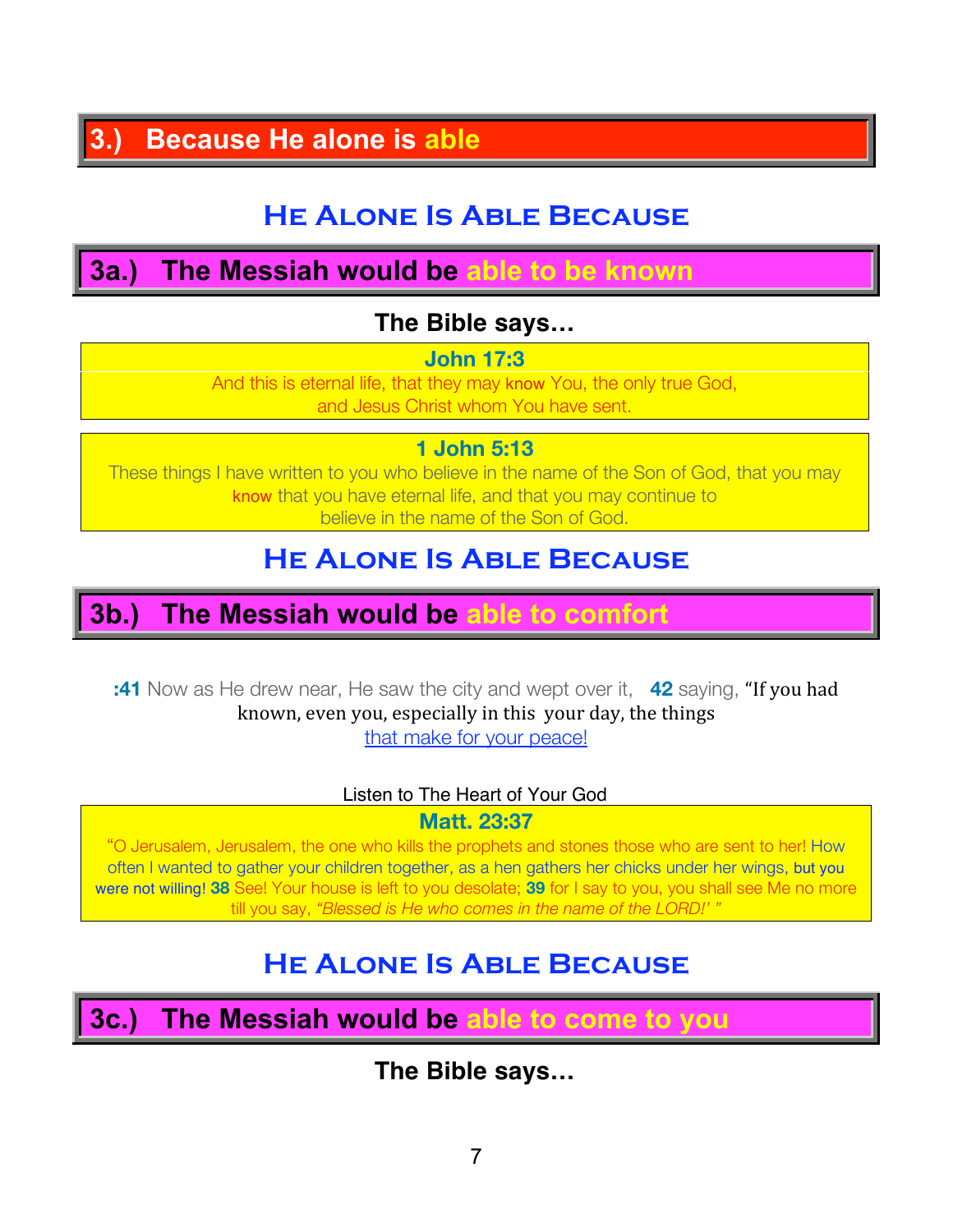# **3.) Because He alone is able**

# **He Alone Is Able Because**

# **3a.) The Messiah would be able to be known**

## **The Bible says…**

#### **John 17:3**

And this is eternal life, that they may know You, the only true God, and Jesus Christ whom You have sent.

#### **1 John 5:13**

These things I have written to you who believe in the name of the Son of God, that you may know that you have eternal life, and that you may continue to believe in the name of the Son of God.

# **He Alone Is Able Because**

## **3b.) The Messiah would be able to comfort**

**:41** Now as He drew near, He saw the city and wept over it, **42** saying, "If you had known, even you, especially in this your day, the things that make for your peace!

#### Listen to The Heart of Your God

**Matt. 23:37**

"O Jerusalem, Jerusalem, the one who kills the prophets and stones those who are sent to her! How often I wanted to gather your children together, as a hen gathers her chicks under her wings, but you were not willing! **38** See! Your house is left to you desolate; **39** for I say to you, you shall see Me no more till you say, *"Blessed is He who comes in the name of the LORD!' "*

# **He Alone Is Able Because**

**3c.) The Messiah would be able to come to you**

## **The Bible says…**